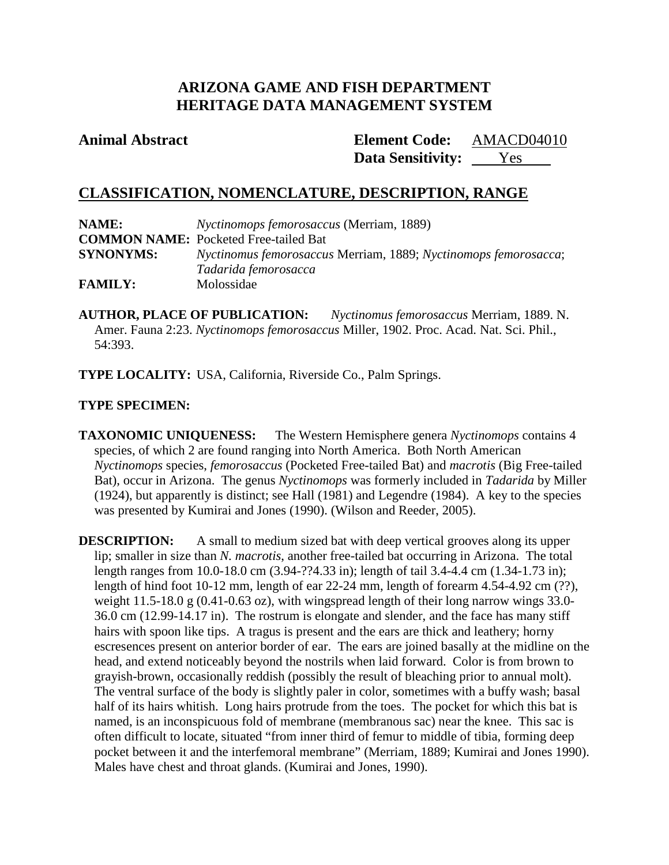# **ARIZONA GAME AND FISH DEPARTMENT HERITAGE DATA MANAGEMENT SYSTEM**

## **Animal Abstract Element Code:**

Data Sensitivity: <u>Yes</u> AMACD04010

# **CLASSIFICATION, NOMENCLATURE, DESCRIPTION, RANGE**

| NAME:            | <i>Nyctinomops femorosaccus</i> (Merriam, 1889)                 |  |  |
|------------------|-----------------------------------------------------------------|--|--|
|                  | <b>COMMON NAME:</b> Pocketed Free-tailed Bat                    |  |  |
| <b>SYNONYMS:</b> | Nyctinomus femorosaccus Merriam, 1889; Nyctinomops femorosacca; |  |  |
|                  | Tadarida femorosacca                                            |  |  |
| <b>FAMILY:</b>   | Molossidae                                                      |  |  |

**AUTHOR, PLACE OF PUBLICATION:** *Nyctinomus femorosaccus* Merriam, 1889. N. Amer. Fauna 2:23. *Nyctinomops femorosaccus* Miller, 1902. Proc. Acad. Nat. Sci. Phil., 54:393.

**TYPE LOCALITY:** USA, California, Riverside Co., Palm Springs.

## **TYPE SPECIMEN:**

**TAXONOMIC UNIQUENESS:** The Western Hemisphere genera *Nyctinomops* contains 4 species, of which 2 are found ranging into North America. Both North American *Nyctinomops* species, *femorosaccus* (Pocketed Free-tailed Bat) and *macrotis* (Big Free-tailed Bat), occur in Arizona. The genus *Nyctinomops* was formerly included in *Tadarida* by Miller (1924), but apparently is distinct; see Hall (1981) and Legendre (1984). A key to the species was presented by Kumirai and Jones (1990). (Wilson and Reeder, 2005).

**DESCRIPTION:** A small to medium sized bat with deep vertical grooves along its upper lip; smaller in size than *N. macrotis*, another free-tailed bat occurring in Arizona. The total length ranges from 10.0-18.0 cm (3.94-??4.33 in); length of tail 3.4-4.4 cm (1.34-1.73 in); length of hind foot 10-12 mm, length of ear 22-24 mm, length of forearm 4.54-4.92 cm (??), weight 11.5-18.0 g (0.41-0.63 oz), with wingspread length of their long narrow wings 33.0-36.0 cm (12.99-14.17 in). The rostrum is elongate and slender, and the face has many stiff hairs with spoon like tips. A tragus is present and the ears are thick and leathery; horny escresences present on anterior border of ear. The ears are joined basally at the midline on the head, and extend noticeably beyond the nostrils when laid forward. Color is from brown to grayish-brown, occasionally reddish (possibly the result of bleaching prior to annual molt). The ventral surface of the body is slightly paler in color, sometimes with a buffy wash; basal half of its hairs whitish. Long hairs protrude from the toes. The pocket for which this bat is named, is an inconspicuous fold of membrane (membranous sac) near the knee. This sac is often difficult to locate, situated "from inner third of femur to middle of tibia, forming deep pocket between it and the interfemoral membrane" (Merriam, 1889; Kumirai and Jones 1990). Males have chest and throat glands. (Kumirai and Jones, 1990).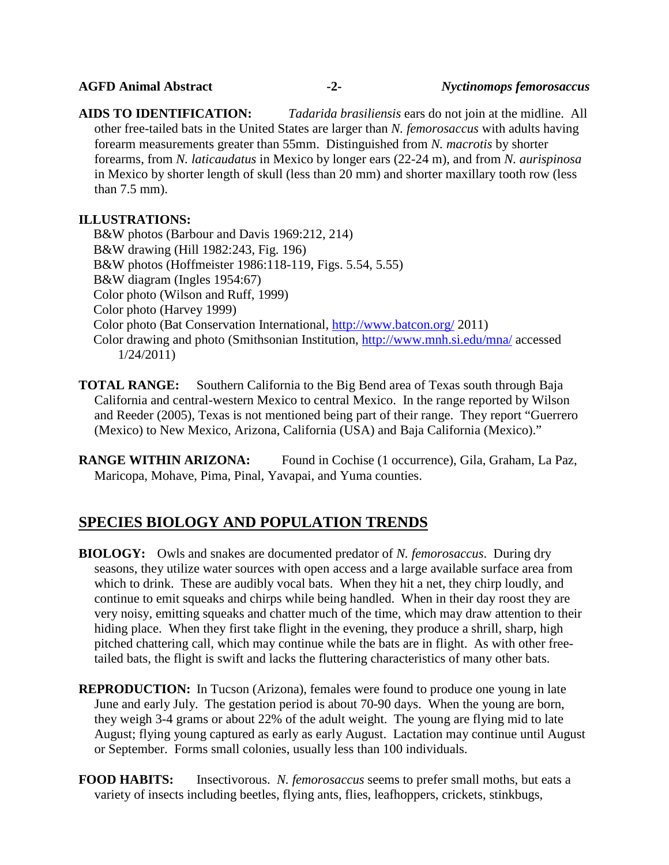**AIDS TO IDENTIFICATION:** *Tadarida brasiliensis* ears do not join at the midline. All other free-tailed bats in the United States are larger than *N. femorosaccus* with adults having forearm measurements greater than 55mm. Distinguished from *N. macrotis* by shorter forearms, from *N. laticaudatus* in Mexico by longer ears (22-24 m), and from *N. aurispinosa* in Mexico by shorter length of skull (less than 20 mm) and shorter maxillary tooth row (less than 7.5 mm).

## **ILLUSTRATIONS:**

B&W photos (Barbour and Davis 1969:212, 214) B&W drawing (Hill 1982:243, Fig. 196) B&W photos (Hoffmeister 1986:118-119, Figs. 5.54, 5.55) B&W diagram (Ingles 1954:67) Color photo (Wilson and Ruff, 1999) Color photo (Harvey 1999) Color photo (Bat Conservation International,<http://www.batcon.org/> 2011) Color drawing and photo (Smithsonian Institution,<http://www.mnh.si.edu/mna/> accessed 1/24/2011)

**TOTAL RANGE:** Southern California to the Big Bend area of Texas south through Baja California and central-western Mexico to central Mexico. In the range reported by Wilson and Reeder (2005), Texas is not mentioned being part of their range. They report "Guerrero (Mexico) to New Mexico, Arizona, California (USA) and Baja California (Mexico)."

**RANGE WITHIN ARIZONA:** Found in Cochise (1 occurrence), Gila, Graham, La Paz, Maricopa, Mohave, Pima, Pinal, Yavapai, and Yuma counties.

## **SPECIES BIOLOGY AND POPULATION TRENDS**

- **BIOLOGY:** Owls and snakes are documented predator of *N. femorosaccus*. During dry seasons, they utilize water sources with open access and a large available surface area from which to drink. These are audibly vocal bats. When they hit a net, they chirp loudly, and continue to emit squeaks and chirps while being handled. When in their day roost they are very noisy, emitting squeaks and chatter much of the time, which may draw attention to their hiding place. When they first take flight in the evening, they produce a shrill, sharp, high pitched chattering call, which may continue while the bats are in flight. As with other freetailed bats, the flight is swift and lacks the fluttering characteristics of many other bats.
- **REPRODUCTION:** In Tucson (Arizona), females were found to produce one young in late June and early July. The gestation period is about 70-90 days. When the young are born, they weigh 3-4 grams or about 22% of the adult weight. The young are flying mid to late August; flying young captured as early as early August. Lactation may continue until August or September. Forms small colonies, usually less than 100 individuals.
- **FOOD HABITS:** Insectivorous. *N. femorosaccus* seems to prefer small moths, but eats a variety of insects including beetles, flying ants, flies, leafhoppers, crickets, stinkbugs,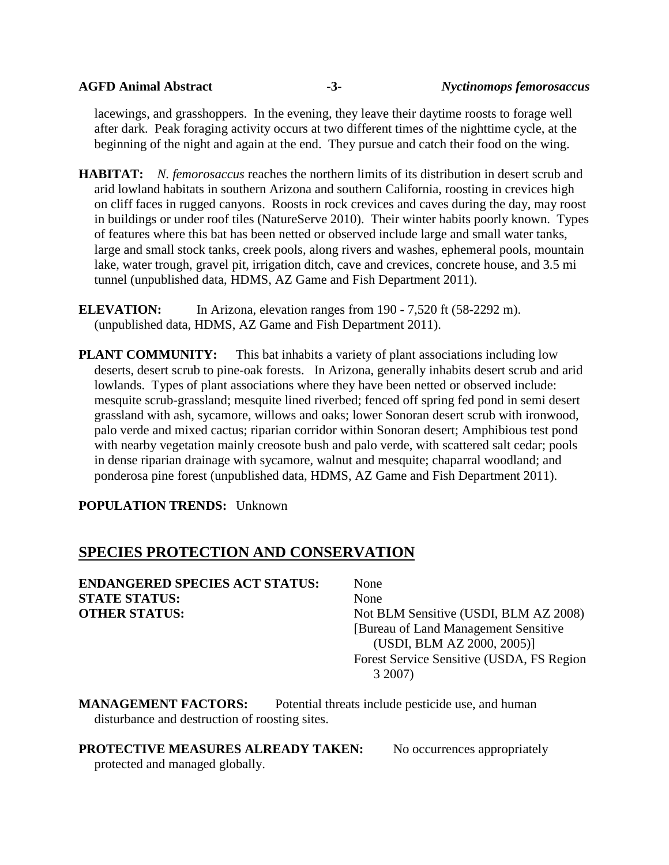lacewings, and grasshoppers. In the evening, they leave their daytime roosts to forage well after dark. Peak foraging activity occurs at two different times of the nighttime cycle, at the beginning of the night and again at the end. They pursue and catch their food on the wing.

- **HABITAT:** *N. femorosaccus* reaches the northern limits of its distribution in desert scrub and arid lowland habitats in southern Arizona and southern California, roosting in crevices high on cliff faces in rugged canyons. Roosts in rock crevices and caves during the day, may roost in buildings or under roof tiles (NatureServe 2010). Their winter habits poorly known. Types of features where this bat has been netted or observed include large and small water tanks, large and small stock tanks, creek pools, along rivers and washes, ephemeral pools, mountain lake, water trough, gravel pit, irrigation ditch, cave and crevices, concrete house, and 3.5 mi tunnel (unpublished data, HDMS, AZ Game and Fish Department 2011).
- **ELEVATION:** In Arizona, elevation ranges from 190 7,520 ft (58-2292 m). (unpublished data, HDMS, AZ Game and Fish Department 2011).
- **PLANT COMMUNITY:** This bat inhabits a variety of plant associations including low deserts, desert scrub to pine-oak forests. In Arizona, generally inhabits desert scrub and arid lowlands. Types of plant associations where they have been netted or observed include: mesquite scrub-grassland; mesquite lined riverbed; fenced off spring fed pond in semi desert grassland with ash, sycamore, willows and oaks; lower Sonoran desert scrub with ironwood, palo verde and mixed cactus; riparian corridor within Sonoran desert; Amphibious test pond with nearby vegetation mainly creosote bush and palo verde, with scattered salt cedar; pools in dense riparian drainage with sycamore, walnut and mesquite; chaparral woodland; and ponderosa pine forest (unpublished data, HDMS, AZ Game and Fish Department 2011).

**POPULATION TRENDS:** Unknown

# **SPECIES PROTECTION AND CONSERVATION**

| <b>ENDANGERED SPECIES ACT STATUS:</b> | None                                      |
|---------------------------------------|-------------------------------------------|
| <b>STATE STATUS:</b>                  | None                                      |
| <b>OTHER STATUS:</b>                  | Not BLM Sensitive (USDI, BLM AZ 2008)     |
|                                       | [Bureau of Land Management Sensitive]     |
|                                       | (USDI, BLM AZ 2000, 2005)]                |
|                                       | Forest Service Sensitive (USDA, FS Region |
|                                       | 3 2007)                                   |

**MANAGEMENT FACTORS:** Potential threats include pesticide use, and human disturbance and destruction of roosting sites.

**PROTECTIVE MEASURES ALREADY TAKEN:** No occurrences appropriately

protected and managed globally.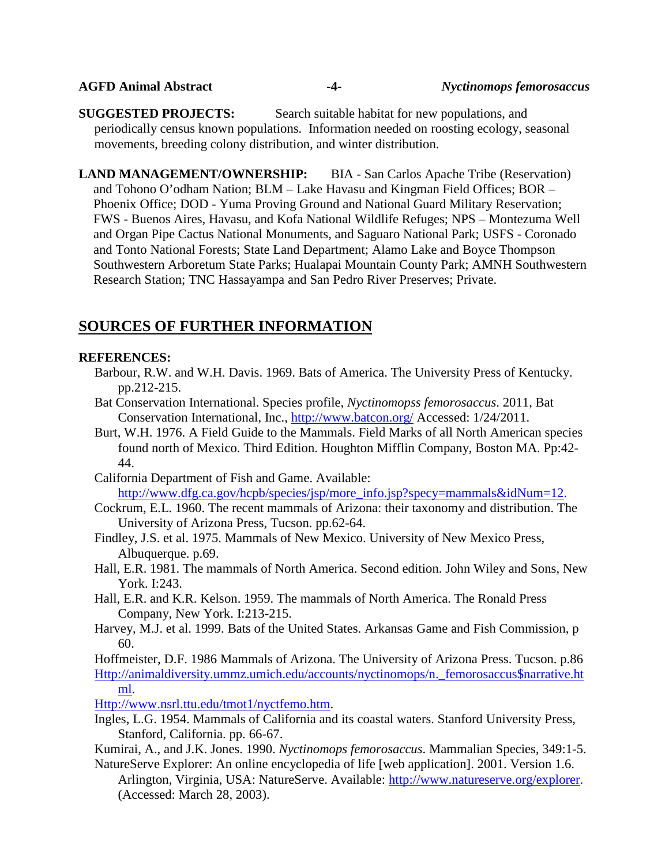| <b>AGFD Animal Abstract</b> | -4- | <b>Nyctinomops femorosaccus</b> |
|-----------------------------|-----|---------------------------------|
|-----------------------------|-----|---------------------------------|

**SUGGESTED PROJECTS:** Search suitable habitat for new populations, and periodically census known populations. Information needed on roosting ecology, seasonal movements, breeding colony distribution, and winter distribution.

**LAND MANAGEMENT/OWNERSHIP:** BIA - San Carlos Apache Tribe (Reservation) and Tohono O'odham Nation; BLM – Lake Havasu and Kingman Field Offices; BOR – Phoenix Office; DOD - Yuma Proving Ground and National Guard Military Reservation; FWS - Buenos Aires, Havasu, and Kofa National Wildlife Refuges; NPS – Montezuma Well and Organ Pipe Cactus National Monuments, and Saguaro National Park; USFS - Coronado and Tonto National Forests; State Land Department; Alamo Lake and Boyce Thompson Southwestern Arboretum State Parks; Hualapai Mountain County Park; AMNH Southwestern Research Station; TNC Hassayampa and San Pedro River Preserves; Private.

# **SOURCES OF FURTHER INFORMATION**

#### **REFERENCES:**

- Barbour, R.W. and W.H. Davis. 1969. Bats of America. The University Press of Kentucky. pp.212-215.
- Bat Conservation International. Species profile, *Nyctinomopss femorosaccus*. 2011, Bat Conservation International, Inc.,<http://www.batcon.org/> Accessed: 1/24/2011.
- Burt, W.H. 1976. A Field Guide to the Mammals. Field Marks of all North American species found north of Mexico. Third Edition. Houghton Mifflin Company, Boston MA. Pp:42- 44.
- California Department of Fish and Game. Available: [http://www.dfg.ca.gov/hcpb/species/jsp/more\\_info.jsp?specy=mammals&idNum=12.](http://www.dfg.ca.gov/hcpb/species/jsp/more_info.jsp?specy=mammals&idNum=12)
- Cockrum, E.L. 1960. The recent mammals of Arizona: their taxonomy and distribution. The University of Arizona Press, Tucson. pp.62-64.
- Findley, J.S. et al. 1975. Mammals of New Mexico. University of New Mexico Press, Albuquerque. p.69.
- Hall, E.R. 1981. The mammals of North America. Second edition. John Wiley and Sons, New York. I:243.
- Hall, E.R. and K.R. Kelson. 1959. The mammals of North America. The Ronald Press Company, New York. I:213-215.
- Harvey, M.J. et al. 1999. Bats of the United States. Arkansas Game and Fish Commission, p 60.

Hoffmeister, D.F. 1986 Mammals of Arizona. The University of Arizona Press. Tucson. p.86 [Http://animaldiversity.ummz.umich.edu/accounts/nyctinomops/n.\\_femorosaccus\\$narrative.ht](http://animaldiversity.ummz.umich.edu/accounts/nyctinomops/n._femorosaccus$narrative.html) [ml.](http://animaldiversity.ummz.umich.edu/accounts/nyctinomops/n._femorosaccus$narrative.html)

[Http://www.nsrl.ttu.edu/tmot1/nyctfemo.htm.](http://www.nsrl.ttu.edu/tmot1/nyctfemo.htm)

Ingles, L.G. 1954. Mammals of California and its coastal waters. Stanford University Press, Stanford, California. pp. 66-67.

Kumirai, A., and J.K. Jones. 1990. *Nyctinomops femorosaccus*. Mammalian Species, 349:1-5. NatureServe Explorer: An online encyclopedia of life [web application]. 2001. Version 1.6.

Arlington, Virginia, USA: NatureServe. Available: [http://www.natureserve.org/explorer.](http://www.natureserve.org/explorer) (Accessed: March 28, 2003).